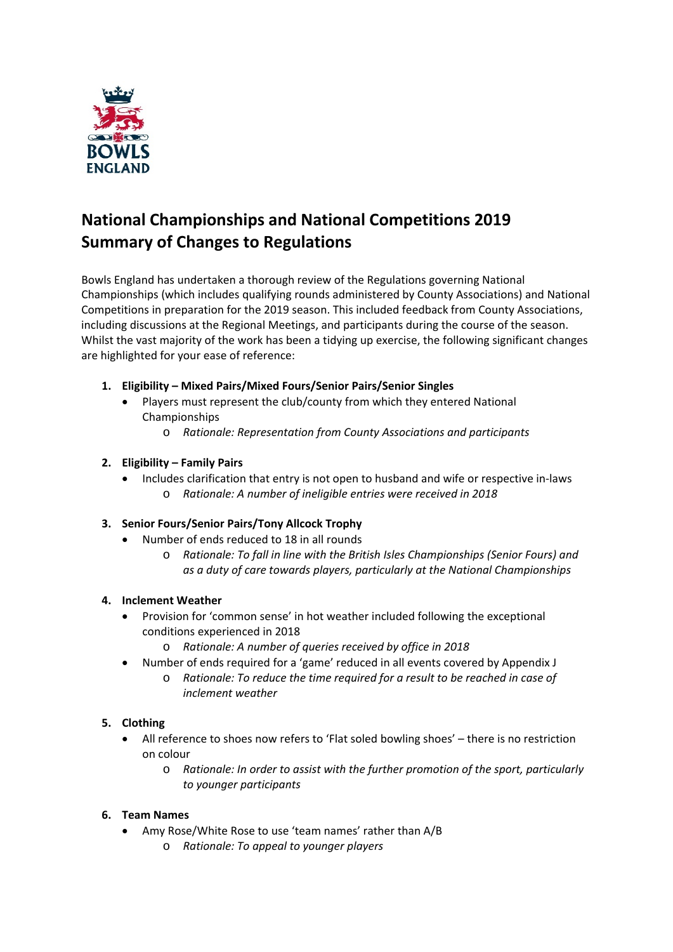

# **National Championships and National Competitions 2019 Summary of Changes to Regulations**

Bowls England has undertaken a thorough review of the Regulations governing National Championships (which includes qualifying rounds administered by County Associations) and National Competitions in preparation for the 2019 season. This included feedback from County Associations, including discussions at the Regional Meetings, and participants during the course of the season. Whilst the vast majority of the work has been a tidying up exercise, the following significant changes are highlighted for your ease of reference:

- **1. Eligibility – Mixed Pairs/Mixed Fours/Senior Pairs/Senior Singles**
	- Players must represent the club/county from which they entered National Championships
		- o *Rationale: Representation from County Associations and participants*

## **2. Eligibility – Family Pairs**

 Includes clarification that entry is not open to husband and wife or respective in‐laws o *Rationale: A number of ineligible entries were received in 2018*

## **3. Senior Fours/Senior Pairs/Tony Allcock Trophy**

- Number of ends reduced to 18 in all rounds
	- o *Rationale: To fall in line with the British Isles Championships (Senior Fours) and as a duty of care towards players, particularly at the National Championships*

## **4. Inclement Weather**

- Provision for 'common sense' in hot weather included following the exceptional conditions experienced in 2018
	- o *Rationale: A number of queries received by office in 2018*
- Number of ends required for a 'game' reduced in all events covered by Appendix J
	- o *Rationale: To reduce the time required for a result to be reached in case of inclement weather*

## **5. Clothing**

- All reference to shoes now refers to 'Flat soled bowling shoes' there is no restriction on colour
	- o *Rationale: In order to assist with the further promotion of the sport, particularly to younger participants*

## **6. Team Names**

- Amy Rose/White Rose to use 'team names' rather than A/B
	- o *Rationale: To appeal to younger players*